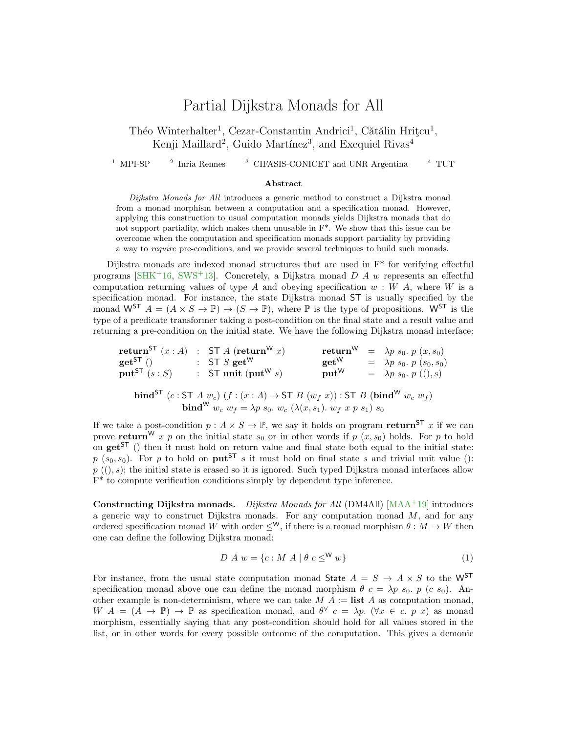## Partial Dijkstra Monads for All

Théo Winterhalter<sup>1</sup>, Cezar-Constantin Andrici<sup>1</sup>, Cătălin Hrițcu<sup>1</sup>, Kenji Maillard<sup>2</sup>, Guido Martínez<sup>3</sup>, and Exequiel Rivas<sup>4</sup>

 $1$  MPI-SP  $2$  Inria Rennes <sup>3</sup> CIFASIS-CONICET and UNR Argentina  $4$  TUT

## Abstract

Dijkstra Monads for All introduces a generic method to construct a Dijkstra monad from a monad morphism between a computation and a specification monad. However, applying this construction to usual computation monads yields Dijkstra monads that do not support partiality, which makes them unusable in F\*. We show that this issue can be overcome when the computation and specification monads support partiality by providing a way to require pre-conditions, and we provide several techniques to build such monads.

Dijkstra monads are indexed monad structures that are used in F\* for verifying effectful programs [\[SHK](#page-2-0)+16, [SWS](#page-2-1)+13]. Concretely, a Dijkstra monad  $D A w$  represents an effectful computation returning values of type A and obeying specification  $w : W A$ , where W is a specification monad. For instance, the state Dijkstra monad ST is usually specified by the monad  $W^{ST}$   $A = (A \times S \to \mathbb{P}) \to (S \to \mathbb{P})$ , where  $\mathbb P$  is the type of propositions.  $W^{ST}$  is the type of a predicate transformer taking a post-condition on the final state and a result value and returning a pre-condition on the initial state. We have the following Dijkstra monad interface:

|                                                                                                                                                                                                                   |  | return <sup>ST</sup> $(x : A)$ : ST A (return <sup>W</sup> x) | $\mathrm{return}^\mathsf{W}$ |  | $= \lambda p s_0. p(x, s_0)$    |
|-------------------------------------------------------------------------------------------------------------------------------------------------------------------------------------------------------------------|--|---------------------------------------------------------------|------------------------------|--|---------------------------------|
| $get^{ST}()$                                                                                                                                                                                                      |  | : ST S get <sup>W</sup>                                       | $get^W$                      |  | $= \lambda p s_0. p (s_0, s_0)$ |
| $\text{put}^{\text{ST}}(s:S)$                                                                                                                                                                                     |  | : ST unit (put <sup>W</sup> s)                                | $\text{put}^{\mathsf{W}}$    |  | $= \lambda p s_0. p ((), s)$    |
| <b>bind</b> <sup>ST</sup> $(c:ST A w_c)$ $(f:(x:A) \rightarrow ST B (w_f x)):ST B (bind^W w_c w_f)$<br><b>bind</b> <sup>W</sup> $w_c$ $w_f = \lambda p s_0$ . $w_c$ ( $\lambda(x, s_1)$ . $w_f$ x p $s_1$ ) $s_0$ |  |                                                               |                              |  |                                 |

If we take a post-condition  $p : A \times S \to \mathbb{P}$ , we say it holds on program return<sup>ST</sup> x if we can prove return<sup>W</sup> x p on the initial state  $s_0$  or in other words if p  $(x, s_0)$  holds. For p to hold on  $get^{ST}$  () then it must hold on return value and final state both equal to the initial state:  $p(s_0, s_0)$ . For p to hold on put<sup>ST</sup> s it must hold on final state s and trivial unit value ():  $p((), s)$ ; the initial state is erased so it is ignored. Such typed Dijkstra monad interfaces allow F\* to compute verification conditions simply by dependent type inference.

Constructing Dijkstra monads. Dijkstra Monads for All (DM4All) [\[MAA](#page-2-2)+19] introduces a generic way to construct Dijkstra monads. For any computation monad  $M$ , and for any ordered specification monad W with order  $\leq^W$ , if there is a monad morphism  $\theta : M \to W$  then one can define the following Dijkstra monad:

<span id="page-0-0"></span>
$$
D A w = \{c : M A | \theta c \leq^W w\}
$$
 (1)

For instance, from the usual state computation monad State  $A = S \rightarrow A \times S$  to the W<sup>ST</sup> specification monad above one can define the monad morphism  $\theta$  c =  $\lambda p$  s<sub>0</sub>. p (c s<sub>0</sub>). Another example is non-determinism, where we can take  $M A :=$  list A as computation monad,  $W A = (A \rightarrow \mathbb{P}) \rightarrow \mathbb{P}$  as specification monad, and  $\theta^{\forall} c = \lambda p$ . ( $\forall x \in c$ . p x) as monad morphism, essentially saying that any post-condition should hold for all values stored in the list, or in other words for every possible outcome of the computation. This gives a demonic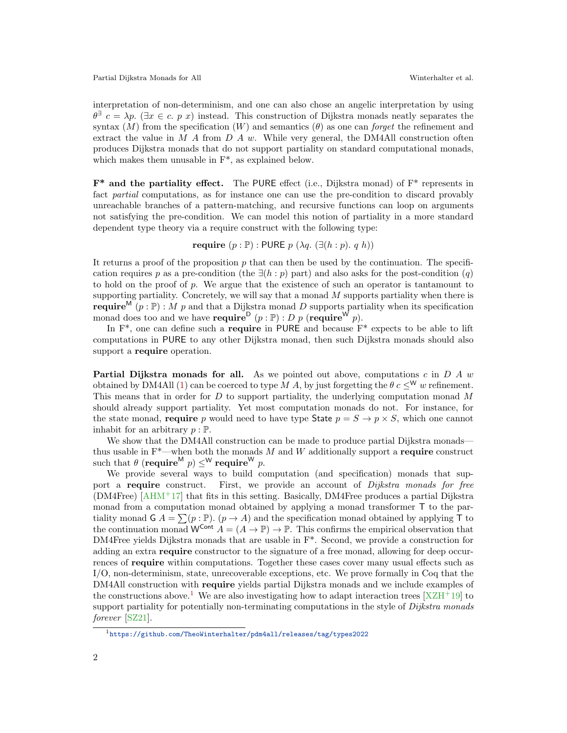Partial Dijkstra Monads for All Winterhalter et al.

interpretation of non-determinism, and one can also chose an angelic interpretation by using  $\theta^{\exists} c = \lambda p$ . ( $\exists x \in c$ . p x) instead. This construction of Dijkstra monads neatly separates the syntax  $(M)$  from the specification  $(W)$  and semantics  $(\theta)$  as one can forget the refinement and extract the value in  $M A$  from  $D A w$ . While very general, the DM4All construction often produces Dijkstra monads that do not support partiality on standard computational monads, which makes them unusable in F\*, as explained below.

 $\mathbf{F}^*$  and the partiality effect. The PURE effect (i.e., Dijkstra monad) of  $\mathbf{F}^*$  represents in fact partial computations, as for instance one can use the pre-condition to discard provably unreachable branches of a pattern-matching, and recursive functions can loop on arguments not satisfying the pre-condition. We can model this notion of partiality in a more standard dependent type theory via a require construct with the following type:

require  $(p : \mathbb{P})$ : PURE  $p (\lambda q. (\exists (h : p), q h))$ 

It returns a proof of the proposition  $p$  that can then be used by the continuation. The specification requires p as a pre-condition (the  $\exists (h : p)$  part) and also asks for the post-condition  $(q)$ to hold on the proof of  $p$ . We argue that the existence of such an operator is tantamount to supporting partiality. Concretely, we will say that a monad  $M$  supports partiality when there is **require**<sup>M</sup> (p : P) : M p and that a Dijkstra monad D supports partiality when its specification monad does too and we have **require**  $(p : \mathbb{P}) : D p$  (**require**  $W$   $p$ ).

In  $F^*$ , one can define such a **require** in PURE and because  $F^*$  expects to be able to lift computations in PURE to any other Dijkstra monad, then such Dijkstra monads should also support a **require** operation.

**Partial Dijkstra monads for all.** As we pointed out above, computations c in  $D A w$ obtained by DM4All [\(1\)](#page-0-0) can be coerced to type M A, by just forgetting the  $\theta c \leq^{\mathsf{W}} w$  refinement. This means that in order for  $D$  to support partiality, the underlying computation monad  $M$ should already support partiality. Yet most computation monads do not. For instance, for the state monad, require p would need to have type State  $p = S \rightarrow p \times S$ , which one cannot inhabit for an arbitrary  $p : \mathbb{P}$ .

We show that the DM4All construction can be made to produce partial Dijkstra monads thus usable in  $F^*$ —when both the monads M and W additionally support a require construct such that  $\theta$  (require<sup>M</sup>  $p$ )  $\leq^\mathsf{W}$  require<sup>W</sup>  $p$ .

We provide several ways to build computation (and specification) monads that support a require construct. First, we provide an account of Dijkstra monads for free (DM4Free) [\[AHM](#page-2-3)+17] that fits in this setting. Basically, DM4Free produces a partial Dijkstra monad from a computation monad obtained by applying a monad transformer T to the partiality monad  $G \cap A = \sum (p : \mathbb{P}) \cap (p \to A)$  and the specification monad obtained by applying T to the continuation monad  $W^{Cont} A = (A \to \mathbb{P}) \to \mathbb{P}$ . This confirms the empirical observation that DM4Free yields Dijkstra monads that are usable in F\*. Second, we provide a construction for adding an extra **require** constructor to the signature of a free monad, allowing for deep occurrences of require within computations. Together these cases cover many usual effects such as I/O, non-determinism, state, unrecoverable exceptions, etc. We prove formally in Coq that the DM4All construction with require yields partial Dijkstra monads and we include examples of the constructions above.<sup>[1](#page-1-0)</sup> We are also investigating how to adapt interaction trees  $[XZH^+19]$  $[XZH^+19]$  to support partiality for potentially non-terminating computations in the style of Dijkstra monads forever [\[SZ21\]](#page-2-5).

<span id="page-1-0"></span><sup>1</sup><https://github.com/TheoWinterhalter/pdm4all/releases/tag/types2022>